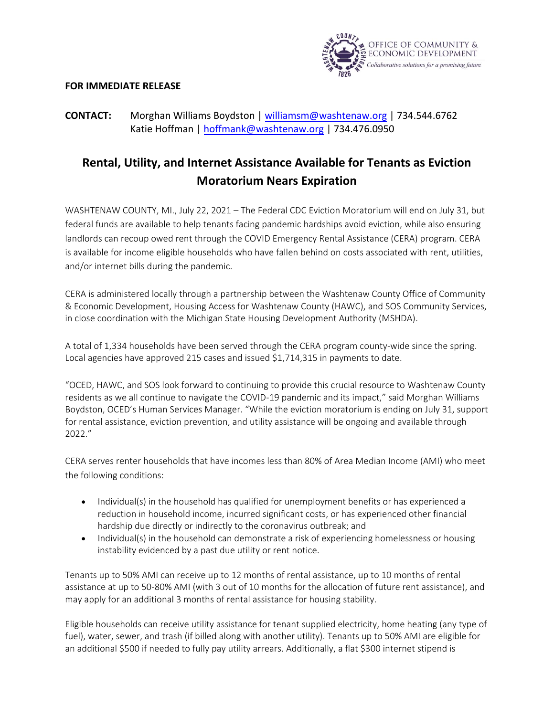

## **FOR IMMEDIATE RELEASE**

## **CONTACT:** Morghan Williams Boydston | williamsm[@washtenaw.or](mailto:williams@washtenaw.org)g | 734.544.6762 Katie Hoffman | [hoffmank@washtenaw.org](mailto:hoffmank@washtenaw.org) | 734.476.0950

## **Rental, Utility, and Internet Assistance Available for Tenants as Eviction Moratorium Nears Expiration**

WASHTENAW COUNTY, MI., July 22, 2021 – The Federal CDC Eviction Moratorium will end on July 31, but federal funds are available to help tenants facing pandemic hardships avoid eviction, while also ensuring landlords can recoup owed rent through the COVID Emergency Rental Assistance (CERA) program. CERA is available for income eligible households who have fallen behind on costs associated with rent, utilities, and/or internet bills during the pandemic.

CERA is administered locally through a partnership between the Washtenaw County Office of Community & Economic Development, Housing Access for Washtenaw County (HAWC), and SOS Community Services, in close coordination with the Michigan State Housing Development Authority (MSHDA).

A total of 1,334 households have been served through the CERA program county-wide since the spring. Local agencies have approved 215 cases and issued \$1,714,315 in payments to date.

"OCED, HAWC, and SOS look forward to continuing to provide this crucial resource to Washtenaw County residents as we all continue to navigate the COVID-19 pandemic and its impact," said Morghan Williams Boydston, OCED's Human Services Manager. "While the eviction moratorium is ending on July 31, support for rental assistance, eviction prevention, and utility assistance will be ongoing and available through 2022."

CERA serves renter households that have incomes less than 80% of Area Median Income (AMI) who meet the following conditions:

- Individual(s) in the household has qualified for unemployment benefits or has experienced a reduction in household income, incurred significant costs, or has experienced other financial hardship due directly or indirectly to the coronavirus outbreak; and
- Individual(s) in the household can demonstrate a risk of experiencing homelessness or housing instability evidenced by a past due utility or rent notice.

Tenants up to 50% AMI can receive up to 12 months of rental assistance, up to 10 months of rental assistance at up to 50-80% AMI (with 3 out of 10 months for the allocation of future rent assistance), and may apply for an additional 3 months of rental assistance for housing stability.

Eligible households can receive utility assistance for tenant supplied electricity, home heating (any type of fuel), water, sewer, and trash (if billed along with another utility). Tenants up to 50% AMI are eligible for an additional \$500 if needed to fully pay utility arrears. Additionally, a flat \$300 internet stipend is